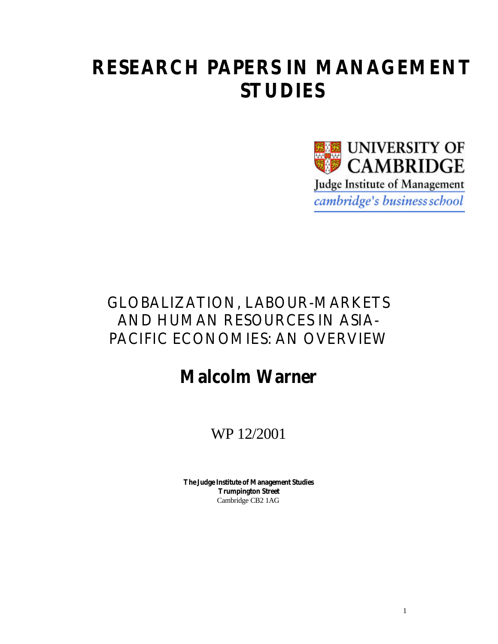# **RESEARCH PAPERS IN MANAGEMENT STUDIES**



## GLOBALIZATION, LABOUR-MARKETS AND HUMAN RESOURCES IN ASIA-PACIFIC ECONOMIES: AN OVERVIEW

# **Malcolm Warner**

## WP 12/2001

**The Judge Institute of Management Studies Trumpington Street** Cambridge CB2 1AG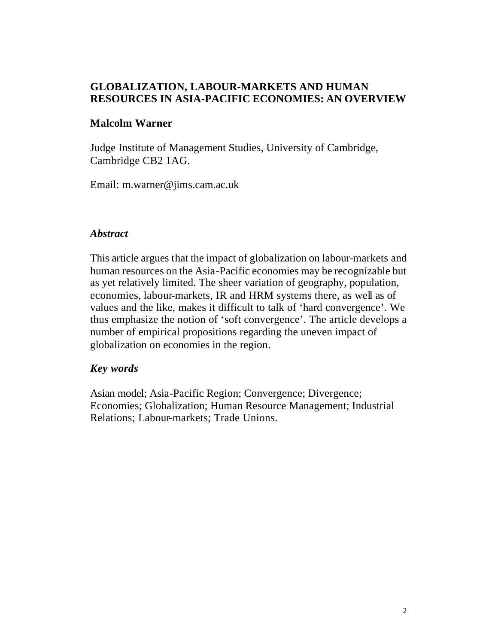#### **GLOBALIZATION, LABOUR-MARKETS AND HUMAN RESOURCES IN ASIA-PACIFIC ECONOMIES: AN OVERVIEW**

#### **Malcolm Warner**

Judge Institute of Management Studies, University of Cambridge, Cambridge CB2 1AG.

Email: m.warner@jims.cam.ac.uk

#### *Abstract*

This article argues that the impact of globalization on labour-markets and human resources on the Asia-Pacific economies may be recognizable but as yet relatively limited. The sheer variation of geography, population, economies, labour-markets, IR and HRM systems there, as well as of values and the like, makes it difficult to talk of 'hard convergence'. We thus emphasize the notion of 'soft convergence'. The article develops a number of empirical propositions regarding the uneven impact of globalization on economies in the region.

#### *Key words*

Asian model; Asia-Pacific Region; Convergence; Divergence; Economies; Globalization; Human Resource Management; Industrial Relations; Labour-markets; Trade Unions.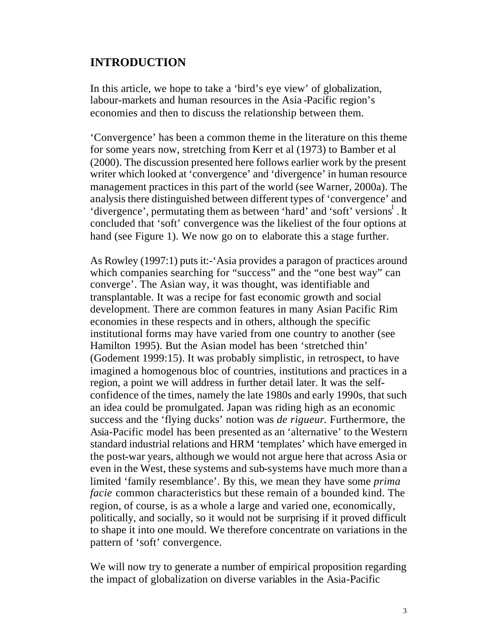### **INTRODUCTION**

In this article, we hope to take a 'bird's eye view' of globalization, labour-markets and human resources in the Asia -Pacific region's economies and then to discuss the relationship between them.

'Convergence' has been a common theme in the literature on this theme for some years now, stretching from Kerr et al (1973) to Bamber et al (2000). The discussion presented here follows earlier work by the present writer which looked at 'convergence' and 'divergence' in human resource management practices in this part of the world (see Warner, 2000a). The analysis there distinguished between different types of 'convergence' and 'divergence', permutating them as between 'hard' and 'soft' versions<sup>1</sup>. It concluded that 'soft' convergence was the likeliest of the four options at hand (see Figure 1). We now go on to elaborate this a stage further.

As Rowley (1997:1) puts it:-'Asia provides a paragon of practices around which companies searching for "success" and the "one best way" can converge'. The Asian way, it was thought, was identifiable and transplantable. It was a recipe for fast economic growth and social development. There are common features in many Asian Pacific Rim economies in these respects and in others, although the specific institutional forms may have varied from one country to another (see Hamilton 1995). But the Asian model has been 'stretched thin' (Godement 1999:15). It was probably simplistic, in retrospect, to have imagined a homogenous bloc of countries, institutions and practices in a region, a point we will address in further detail later. It was the selfconfidence of the times, namely the late 1980s and early 1990s, that such an idea could be promulgated. Japan was riding high as an economic success and the 'flying ducks' notion was *de rigueur*. Furthermore, the Asia-Pacific model has been presented as an 'alternative' to the Western standard industrial relations and HRM 'templates' which have emerged in the post-war years, although we would not argue here that across Asia or even in the West, these systems and sub-systems have much more than a limited 'family resemblance'. By this, we mean they have some *prima facie* common characteristics but these remain of a bounded kind. The region, of course, is as a whole a large and varied one, economically, politically, and socially, so it would not be surprising if it proved difficult to shape it into one mould. We therefore concentrate on variations in the pattern of 'soft' convergence.

We will now try to generate a number of empirical proposition regarding the impact of globalization on diverse variables in the Asia-Pacific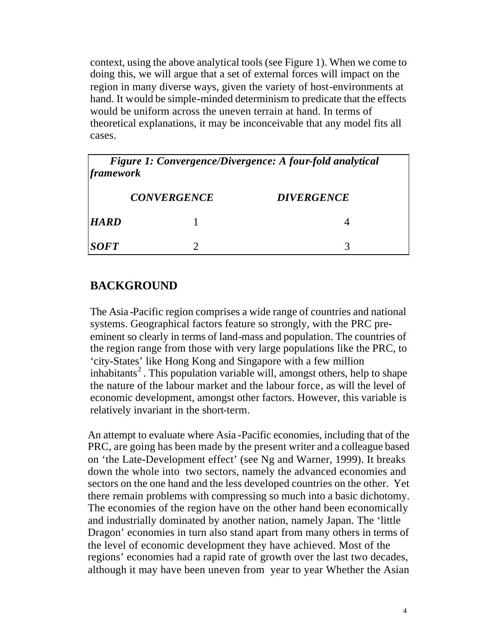context, using the above analytical tools (see Figure 1). When we come to doing this, we will argue that a set of external forces will impact on the region in many diverse ways, given the variety of host-environments at hand. It would be simple-minded determinism to predicate that the effects would be uniform across the uneven terrain at hand. In terms of theoretical explanations, it may be inconceivable that any model fits all cases.

| Figure 1: Convergence/Divergence: A four-fold analytical<br>framework |                    |                   |
|-----------------------------------------------------------------------|--------------------|-------------------|
|                                                                       | <b>CONVERGENCE</b> | <b>DIVERGENCE</b> |
| <b>HARD</b>                                                           |                    |                   |
| <b>SOFT</b>                                                           |                    |                   |

## **BACKGROUND**

The Asia -Pacific region comprises a wide range of countries and national systems. Geographical factors feature so strongly, with the PRC preeminent so clearly in terms of land-mass and population. The countries of the region range from those with very large populations like the PRC, to 'city-States' like Hong Kong and Singapore with a few million inhabitants<sup>2</sup>. This population variable will, amongst others, help to shape the nature of the labour market and the labour force, as will the level of economic development, amongst other factors. However, this variable is relatively invariant in the short-term.

An attempt to evaluate where Asia -Pacific economies, including that of the PRC, are going has been made by the present writer and a colleague based on 'the Late-Development effect' (see Ng and Warner, 1999). It breaks down the whole into two sectors, namely the advanced economies and sectors on the one hand and the less developed countries on the other. Yet there remain problems with compressing so much into a basic dichotomy. The economies of the region have on the other hand been economically and industrially dominated by another nation, namely Japan. The 'little Dragon' economies in turn also stand apart from many others in terms of the level of economic development they have achieved. Most of the regions' economies had a rapid rate of growth over the last two decades, although it may have been uneven from year to year Whether the Asian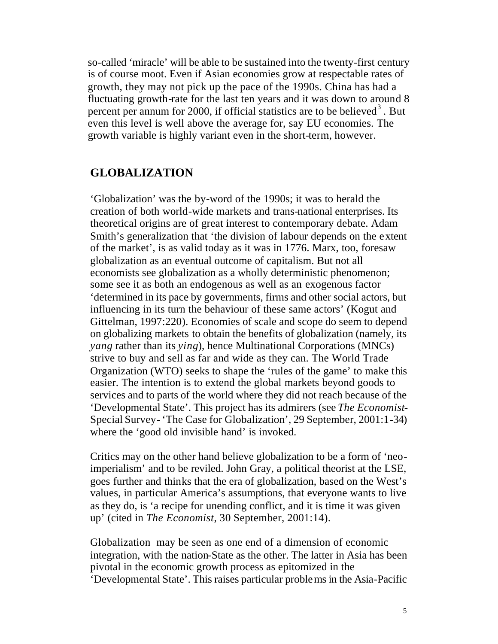so-called 'miracle' will be able to be sustained into the twenty-first century is of course moot. Even if Asian economies grow at respectable rates of growth, they may not pick up the pace of the 1990s. China has had a fluctuating growth-rate for the last ten years and it was down to around 8 percent per annum for 2000, if official statistics are to be believed<sup>3</sup>. But even this level is well above the average for, say EU economies. The growth variable is highly variant even in the short-term, however.

## **GLOBALIZATION**

'Globalization' was the by-word of the 1990s; it was to herald the creation of both world-wide markets and trans-national enterprises. Its theoretical origins are of great interest to contemporary debate. Adam Smith's generalization that 'the division of labour depends on the extent of the market', is as valid today as it was in 1776. Marx, too, foresaw globalization as an eventual outcome of capitalism. But not all economists see globalization as a wholly deterministic phenomenon; some see it as both an endogenous as well as an exogenous factor 'determined in its pace by governments, firms and other social actors, but influencing in its turn the behaviour of these same actors' (Kogut and Gittelman, 1997:220). Economies of scale and scope do seem to depend on globalizing markets to obtain the benefits of globalization (namely, its *yang* rather than its *ying*), hence Multinational Corporations (MNCs) strive to buy and sell as far and wide as they can. The World Trade Organization (WTO) seeks to shape the 'rules of the game' to make this easier. The intention is to extend the global markets beyond goods to services and to parts of the world where they did not reach because of the 'Developmental State'. This project has its admirers (see *The Economist*-Special Survey- 'The Case for Globalization', 29 September, 2001:1-34) where the 'good old invisible hand' is invoked.

Critics may on the other hand believe globalization to be a form of 'neoimperialism' and to be reviled. John Gray, a political theorist at the LSE, goes further and thinks that the era of globalization, based on the West's values, in particular America's assumptions, that everyone wants to live as they do, is 'a recipe for unending conflict, and it is time it was given up' (cited in *The Economist*, 30 September, 2001:14).

Globalization may be seen as one end of a dimension of economic integration, with the nation-State as the other. The latter in Asia has been pivotal in the economic growth process as epitomized in the 'Developmental State'. This raises particular problems in the Asia-Pacific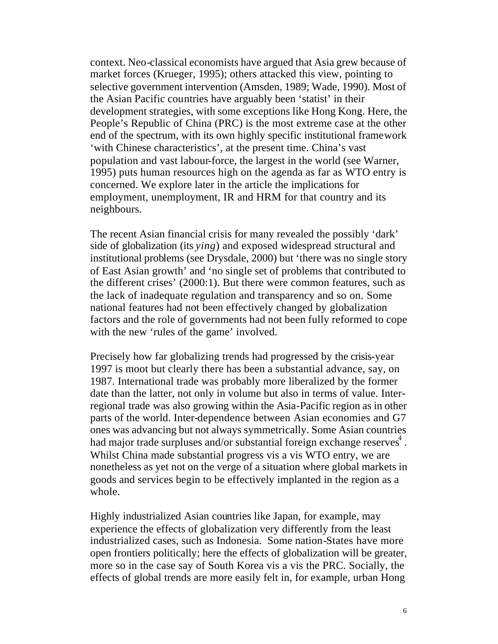context. Neo-classical economists have argued that Asia grew because of market forces (Krueger, 1995); others attacked this view, pointing to selective government intervention (Amsden, 1989; Wade, 1990). Most of the Asian Pacific countries have arguably been 'statist' in their development strategies, with some exceptions like Hong Kong. Here, the People's Republic of China (PRC) is the most extreme case at the other end of the spectrum, with its own highly specific institutional framework 'with Chinese characteristics', at the present time. China's vast population and vast labour-force, the largest in the world (see Warner, 1995) puts human resources high on the agenda as far as WTO entry is concerned. We explore later in the article the implications for employment, unemployment, IR and HRM for that country and its neighbours.

The recent Asian financial crisis for many revealed the possibly 'dark' side of globalization (its *ying*) and exposed widespread structural and institutional problems (see Drysdale, 2000) but 'there was no single story of East Asian growth' and 'no single set of problems that contributed to the different crises' (2000:1). But there were common features, such as the lack of inadequate regulation and transparency and so on. Some national features had not been effectively changed by globalization factors and the role of governments had not been fully reformed to cope with the new 'rules of the game' involved.

Precisely how far globalizing trends had progressed by the crisis-year 1997 is moot but clearly there has been a substantial advance, say, on 1987. International trade was probably more liberalized by the former date than the latter, not only in volume but also in terms of value. Interregional trade was also growing within the Asia-Pacific region as in other parts of the world. Inter-dependence between Asian economies and G7 ones was advancing but not always symmetrically. Some Asian countries had major trade surpluses and/or substantial foreign exchange reserves<sup>4</sup>. Whilst China made substantial progress vis a vis WTO entry, we are nonetheless as yet not on the verge of a situation where global markets in goods and services begin to be effectively implanted in the region as a whole.

Highly industrialized Asian countries like Japan, for example, may experience the effects of globalization very differently from the least industrialized cases, such as Indonesia. Some nation-States have more open frontiers politically; here the effects of globalization will be greater, more so in the case say of South Korea vis a vis the PRC. Socially, the effects of global trends are more easily felt in, for example, urban Hong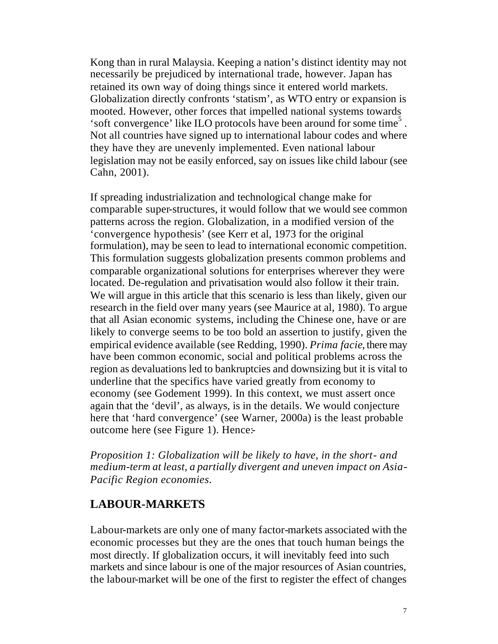Kong than in rural Malaysia. Keeping a nation's distinct identity may not necessarily be prejudiced by international trade, however. Japan has retained its own way of doing things since it entered world markets. Globalization directly confronts 'statism', as WTO entry or expansion is mooted. However, other forces that impelled national systems towards 'soft convergence' like ILO protocols have been around for some time<sup>5</sup>. Not all countries have signed up to international labour codes and where they have they are unevenly implemented. Even national labour legislation may not be easily enforced, say on issues like child labour (see Cahn, 2001).

If spreading industrialization and technological change make for comparable super-structures, it would follow that we would see common patterns across the region. Globalization, in a modified version of the 'convergence hypothesis' (see Kerr et al, 1973 for the original formulation), may be seen to lead to international economic competition. This formulation suggests globalization presents common problems and comparable organizational solutions for enterprises wherever they were located. De-regulation and privatisation would also follow it their train. We will argue in this article that this scenario is less than likely, given our research in the field over many years (see Maurice at al, 1980). To argue that all Asian economic systems, including the Chinese one, have or are likely to converge seems to be too bold an assertion to justify, given the empirical evidence available (see Redding, 1990). *Prima facie*, there may have been common economic, social and political problems across the region as devaluations led to bankruptcies and downsizing but it is vital to underline that the specifics have varied greatly from economy to economy (see Godement 1999). In this context, we must assert once again that the 'devil', as always, is in the details. We would conjecture here that 'hard convergence' (see Warner, 2000a) is the least probable outcome here (see Figure 1). Hence:-

*Proposition 1: Globalization will be likely to have, in the short- and medium-term at least, a partially divergent and uneven impact on Asia-Pacific Region economies.*

#### **LABOUR-MARKETS**

Labour-markets are only one of many factor-markets associated with the economic processes but they are the ones that touch human beings the most directly. If globalization occurs, it will inevitably feed into such markets and since labour is one of the major resources of Asian countries, the labour-market will be one of the first to register the effect of changes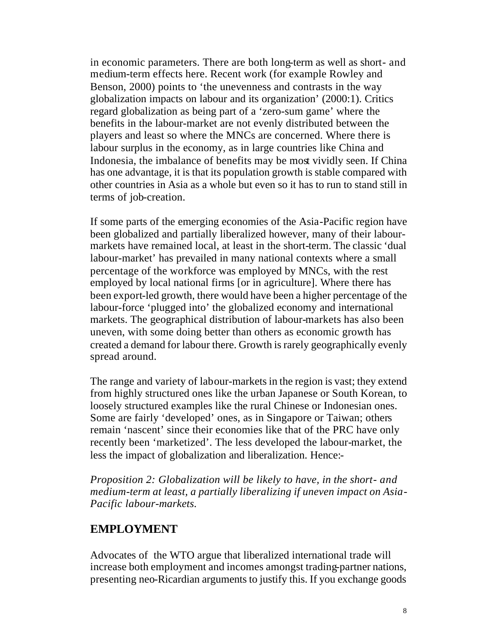in economic parameters. There are both long-term as well as short- and medium-term effects here. Recent work (for example Rowley and Benson, 2000) points to 'the unevenness and contrasts in the way globalization impacts on labour and its organization' (2000:1). Critics regard globalization as being part of a 'zero-sum game' where the benefits in the labour-market are not evenly distributed between the players and least so where the MNCs are concerned. Where there is labour surplus in the economy, as in large countries like China and Indonesia, the imbalance of benefits may be most vividly seen. If China has one advantage, it is that its population growth is stable compared with other countries in Asia as a whole but even so it has to run to stand still in terms of job-creation.

If some parts of the emerging economies of the Asia-Pacific region have been globalized and partially liberalized however, many of their labourmarkets have remained local, at least in the short-term. The classic 'dual labour-market' has prevailed in many national contexts where a small percentage of the workforce was employed by MNCs, with the rest employed by local national firms [or in agriculture]. Where there has been export-led growth, there would have been a higher percentage of the labour-force 'plugged into' the globalized economy and international markets. The geographical distribution of labour-markets has also been uneven, with some doing better than others as economic growth has created a demand for labour there. Growth is rarely geographically evenly spread around.

The range and variety of labour-markets in the region is vast; they extend from highly structured ones like the urban Japanese or South Korean, to loosely structured examples like the rural Chinese or Indonesian ones. Some are fairly 'developed' ones, as in Singapore or Taiwan; others remain 'nascent' since their economies like that of the PRC have only recently been 'marketized'. The less developed the labour-market, the less the impact of globalization and liberalization. Hence:-

*Proposition 2: Globalization will be likely to have, in the short- and medium-term at least, a partially liberalizing if uneven impact on Asia-Pacific labour-markets.*

#### **EMPLOYMENT**

Advocates of the WTO argue that liberalized international trade will increase both employment and incomes amongst trading-partner nations, presenting neo-Ricardian arguments to justify this. If you exchange goods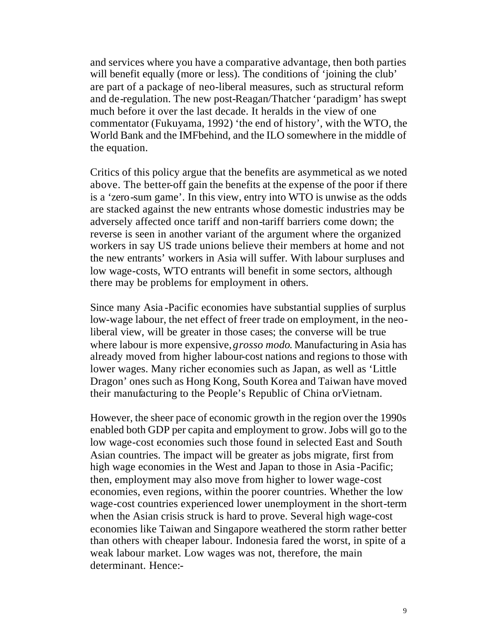and services where you have a comparative advantage, then both parties will benefit equally (more or less). The conditions of 'joining the club' are part of a package of neo-liberal measures, such as structural reform and de-regulation. The new post-Reagan/Thatcher 'paradigm' has swept much before it over the last decade. It heralds in the view of one commentator (Fukuyama, 1992) 'the end of history', with the WTO, the World Bank and the IMFbehind, and the ILO somewhere in the middle of the equation.

Critics of this policy argue that the benefits are asymmetical as we noted above. The better-off gain the benefits at the expense of the poor if there is a 'zero-sum game'. In this view, entry into WTO is unwise as the odds are stacked against the new entrants whose domestic industries may be adversely affected once tariff and non-tariff barriers come down; the reverse is seen in another variant of the argument where the organized workers in say US trade unions believe their members at home and not the new entrants' workers in Asia will suffer. With labour surpluses and low wage-costs, WTO entrants will benefit in some sectors, although there may be problems for employment in others.

Since many Asia -Pacific economies have substantial supplies of surplus low-wage labour, the net effect of freer trade on employment, in the neoliberal view, will be greater in those cases; the converse will be true where labour is more expensive, *grosso modo*. Manufacturing in Asia has already moved from higher labour-cost nations and regions to those with lower wages. Many richer economies such as Japan, as well as 'Little Dragon' ones such as Hong Kong, South Korea and Taiwan have moved their manufacturing to the People's Republic of China orVietnam.

However, the sheer pace of economic growth in the region over the 1990s enabled both GDP per capita and employment to grow. Jobs will go to the low wage-cost economies such those found in selected East and South Asian countries. The impact will be greater as jobs migrate, first from high wage economies in the West and Japan to those in Asia -Pacific; then, employment may also move from higher to lower wage-cost economies, even regions, within the poorer countries. Whether the low wage-cost countries experienced lower unemployment in the short-term when the Asian crisis struck is hard to prove. Several high wage-cost economies like Taiwan and Singapore weathered the storm rather better than others with cheaper labour. Indonesia fared the worst, in spite of a weak labour market. Low wages was not, therefore, the main determinant. Hence:-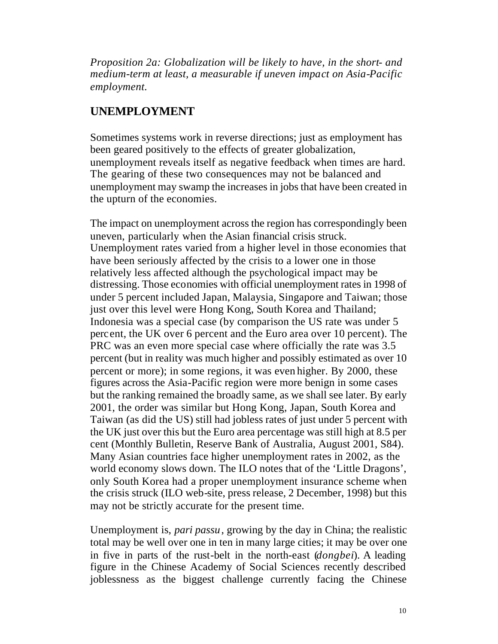*Proposition 2a: Globalization will be likely to have, in the short- and medium-term at least, a measurable if uneven impact on Asia-Pacific employment.*

### **UNEMPLOYMENT**

Sometimes systems work in reverse directions; just as employment has been geared positively to the effects of greater globalization, unemployment reveals itself as negative feedback when times are hard. The gearing of these two consequences may not be balanced and unemployment may swamp the increases in jobs that have been created in the upturn of the economies.

The impact on unemployment across the region has correspondingly been uneven, particularly when the Asian financial crisis struck. Unemployment rates varied from a higher level in those economies that have been seriously affected by the crisis to a lower one in those relatively less affected although the psychological impact may be distressing. Those economies with official unemployment rates in 1998 of under 5 percent included Japan, Malaysia, Singapore and Taiwan; those just over this level were Hong Kong, South Korea and Thailand; Indonesia was a special case (by comparison the US rate was under 5 percent, the UK over 6 percent and the Euro area over 10 percent). The PRC was an even more special case where officially the rate was 3.5 percent (but in reality was much higher and possibly estimated as over 10 percent or more); in some regions, it was even higher. By 2000, these figures across the Asia-Pacific region were more benign in some cases but the ranking remained the broadly same, as we shall see later. By early 2001, the order was similar but Hong Kong, Japan, South Korea and Taiwan (as did the US) still had jobless rates of just under 5 percent with the UK just over this but the Euro area percentage was still high at 8.5 per cent (Monthly Bulletin, Reserve Bank of Australia, August 2001, S84). Many Asian countries face higher unemployment rates in 2002, as the world economy slows down. The ILO notes that of the 'Little Dragons', only South Korea had a proper unemployment insurance scheme when the crisis struck (ILO web-site, press release, 2 December, 1998) but this may not be strictly accurate for the present time.

Unemployment is, *pari passu*, growing by the day in China; the realistic total may be well over one in ten in many large cities; it may be over one in five in parts of the rust-belt in the north-east (*dongbei*). A leading figure in the Chinese Academy of Social Sciences recently described joblessness as the biggest challenge currently facing the Chinese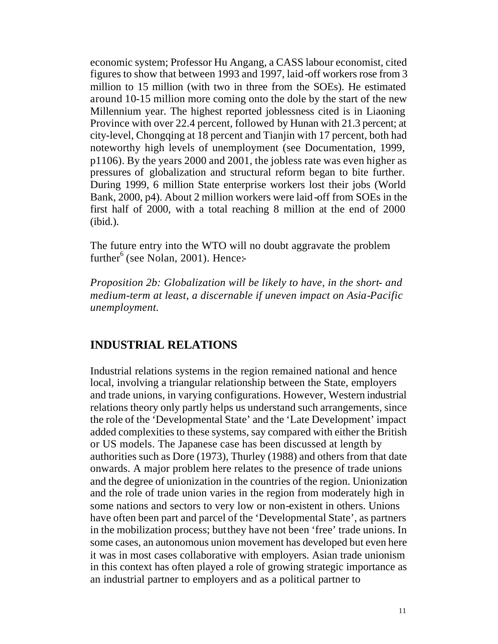economic system; Professor Hu Angang, a CASS labour economist, cited figures to show that between 1993 and 1997, laid-off workers rose from 3 million to 15 million (with two in three from the SOEs). He estimated around 10-15 million more coming onto the dole by the start of the new Millennium year. The highest reported joblessness cited is in Liaoning Province with over 22.4 percent, followed by Hunan with 21.3 percent; at city-level, Chongqing at 18 percent and Tianjin with 17 percent, both had noteworthy high levels of unemployment (see Documentation, 1999, p1106). By the years 2000 and 2001, the jobless rate was even higher as pressures of globalization and structural reform began to bite further. During 1999, 6 million State enterprise workers lost their jobs (World Bank, 2000, p4). About 2 million workers were laid-off from SOEs in the first half of 2000, with a total reaching 8 million at the end of 2000 (ibid.).

The future entry into the WTO will no doubt aggravate the problem further<sup>6</sup> (see Nolan, 2001). Hence:-

*Proposition 2b: Globalization will be likely to have, in the short- and medium-term at least, a discernable if uneven impact on Asia-Pacific unemployment.*

### **INDUSTRIAL RELATIONS**

Industrial relations systems in the region remained national and hence local, involving a triangular relationship between the State, employers and trade unions, in varying configurations. However, Western industrial relations theory only partly helps us understand such arrangements, since the role of the 'Developmental State' and the 'Late Development' impact added complexities to these systems, say compared with either the British or US models. The Japanese case has been discussed at length by authorities such as Dore (1973), Thurley (1988) and others from that date onwards. A major problem here relates to the presence of trade unions and the degree of unionization in the countries of the region. Unionization and the role of trade union varies in the region from moderately high in some nations and sectors to very low or non-existent in others. Unions have often been part and parcel of the 'Developmental State', as partners in the mobilization process; but they have not been 'free' trade unions. In some cases, an autonomous union movement has developed but even here it was in most cases collaborative with employers. Asian trade unionism in this context has often played a role of growing strategic importance as an industrial partner to employers and as a political partner to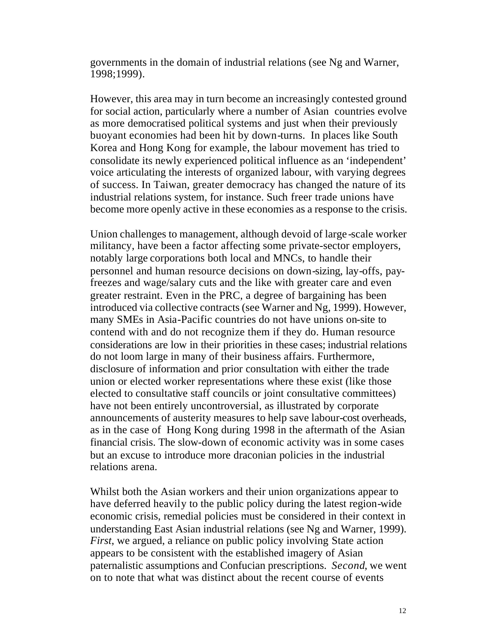governments in the domain of industrial relations (see Ng and Warner, 1998;1999).

However, this area may in turn become an increasingly contested ground for social action, particularly where a number of Asian countries evolve as more democratised political systems and just when their previously buoyant economies had been hit by down-turns. In places like South Korea and Hong Kong for example, the labour movement has tried to consolidate its newly experienced political influence as an 'independent' voice articulating the interests of organized labour, with varying degrees of success. In Taiwan, greater democracy has changed the nature of its industrial relations system, for instance. Such freer trade unions have become more openly active in these economies as a response to the crisis.

Union challenges to management, although devoid of large -scale worker militancy, have been a factor affecting some private-sector employers, notably large corporations both local and MNCs, to handle their personnel and human resource decisions on down-sizing, lay-offs, payfreezes and wage/salary cuts and the like with greater care and even greater restraint. Even in the PRC, a degree of bargaining has been introduced via collective contracts (see Warner and Ng, 1999). However, many SMEs in Asia-Pacific countries do not have unions on-site to contend with and do not recognize them if they do. Human resource considerations are low in their priorities in these cases; industrial relations do not loom large in many of their business affairs. Furthermore, disclosure of information and prior consultation with either the trade union or elected worker representations where these exist (like those elected to consultative staff councils or joint consultative committees) have not been entirely uncontroversial, as illustrated by corporate announcements of austerity measures to help save labour-cost overheads, as in the case of Hong Kong during 1998 in the aftermath of the Asian financial crisis. The slow-down of economic activity was in some cases but an excuse to introduce more draconian policies in the industrial relations arena.

Whilst both the Asian workers and their union organizations appear to have deferred heavily to the public policy during the latest region-wide economic crisis, remedial policies must be considered in their context in understanding East Asian industrial relations (see Ng and Warner, 1999). *First*, we argued, a reliance on public policy involving State action appears to be consistent with the established imagery of Asian paternalistic assumptions and Confucian prescriptions. *Second*, we went on to note that what was distinct about the recent course of events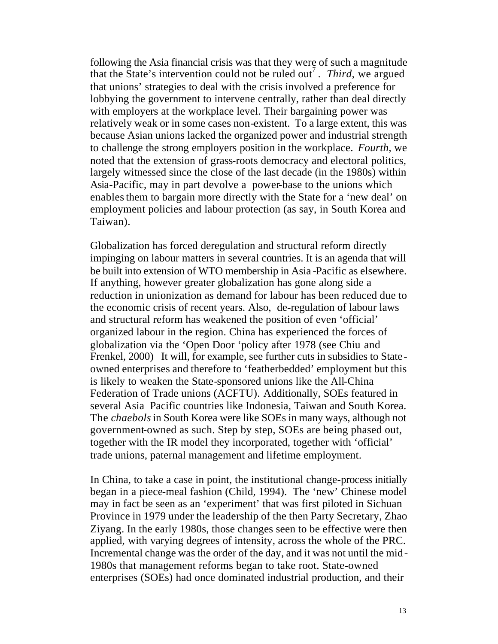following the Asia financial crisis was that they were of such a magnitude that the State's intervention could not be ruled out<sup>7</sup>. Third, we argued that unions' strategies to deal with the crisis involved a preference for lobbying the government to intervene centrally, rather than deal directly with employers at the workplace level. Their bargaining power was relatively weak or in some cases non-existent. To a large extent, this was because Asian unions lacked the organized power and industrial strength to challenge the strong employers position in the workplace. *Fourth,* we noted that the extension of grass-roots democracy and electoral politics, largely witnessed since the close of the last decade (in the 1980s) within Asia-Pacific, may in part devolve a power-base to the unions which enables them to bargain more directly with the State for a 'new deal' on employment policies and labour protection (as say, in South Korea and Taiwan).

Globalization has forced deregulation and structural reform directly impinging on labour matters in several countries. It is an agenda that will be built into extension of WTO membership in Asia -Pacific as elsewhere. If anything, however greater globalization has gone along side a reduction in unionization as demand for labour has been reduced due to the economic crisis of recent years. Also, de-regulation of labour laws and structural reform has weakened the position of even 'official' organized labour in the region. China has experienced the forces of globalization via the 'Open Door 'policy after 1978 (see Chiu and Frenkel, 2000) It will, for example, see further cuts in subsidies to Stateowned enterprises and therefore to 'featherbedded' employment but this is likely to weaken the State-sponsored unions like the All-China Federation of Trade unions (ACFTU). Additionally, SOEs featured in several Asia Pacific countries like Indonesia, Taiwan and South Korea. The *chaebols* in South Korea were like SOEs in many ways, although not government-owned as such. Step by step, SOEs are being phased out, together with the IR model they incorporated, together with 'official' trade unions, paternal management and lifetime employment.

In China, to take a case in point, the institutional change-process initially began in a piece-meal fashion (Child, 1994). The 'new' Chinese model may in fact be seen as an 'experiment' that was first piloted in Sichuan Province in 1979 under the leadership of the then Party Secretary, Zhao Ziyang. In the early 1980s, those changes seen to be effective were then applied, with varying degrees of intensity, across the whole of the PRC. Incremental change was the order of the day, and it was not until the mid-1980s that management reforms began to take root. State-owned enterprises (SOEs) had once dominated industrial production, and their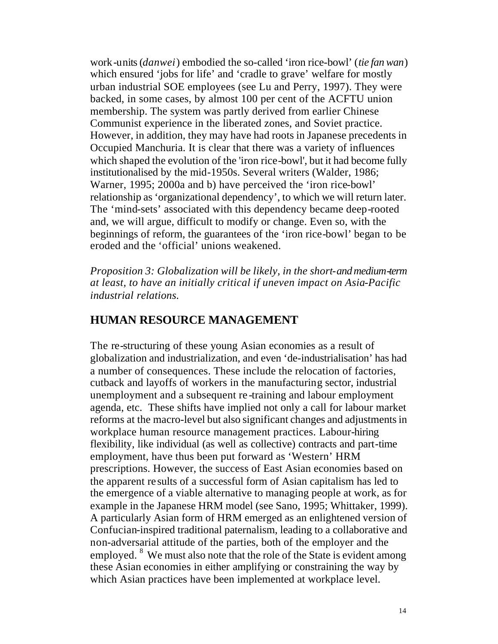work-units (*danwei*) embodied the so-called 'iron rice-bowl' (*tie fan wan*) which ensured 'jobs for life' and 'cradle to grave' welfare for mostly urban industrial SOE employees (see Lu and Perry, 1997). They were backed, in some cases, by almost 100 per cent of the ACFTU union membership. The system was partly derived from earlier Chinese Communist experience in the liberated zones, and Soviet practice. However, in addition, they may have had roots in Japanese precedents in Occupied Manchuria. It is clear that there was a variety of influences which shaped the evolution of the 'iron rice-bowl', but it had become fully institutionalised by the mid-1950s. Several writers (Walder, 1986; Warner, 1995; 2000a and b) have perceived the 'iron rice-bowl' relationship as 'organizational dependency', to which we will return later. The 'mind-sets' associated with this dependency became deep-rooted and, we will argue, difficult to modify or change. Even so, with the beginnings of reform, the guarantees of the 'iron rice-bowl' began to be eroded and the 'official' unions weakened.

*Proposition 3: Globalization will be likely, in the short- and medium-term at least, to have an initially critical if uneven impact on Asia-Pacific industrial relations.*

### **HUMAN RESOURCE MANAGEMENT**

The re-structuring of these young Asian economies as a result of globalization and industrialization, and even 'de-industrialisation' has had a number of consequences. These include the relocation of factories, cutback and layoffs of workers in the manufacturing sector, industrial unemployment and a subsequent re -training and labour employment agenda, etc. These shifts have implied not only a call for labour market reforms at the macro-level but also significant changes and adjustments in workplace human resource management practices. Labour-hiring flexibility, like individual (as well as collective) contracts and part-time employment, have thus been put forward as 'Western' HRM prescriptions. However, the success of East Asian economies based on the apparent re sults of a successful form of Asian capitalism has led to the emergence of a viable alternative to managing people at work, as for example in the Japanese HRM model (see Sano, 1995; Whittaker, 1999). A particularly Asian form of HRM emerged as an enlightened version of Confucian-inspired traditional paternalism, leading to a collaborative and non-adversarial attitude of the parties, both of the employer and the employed. <sup>8</sup> We must also note that the role of the State is evident among these Asian economies in either amplifying or constraining the way by which Asian practices have been implemented at workplace level.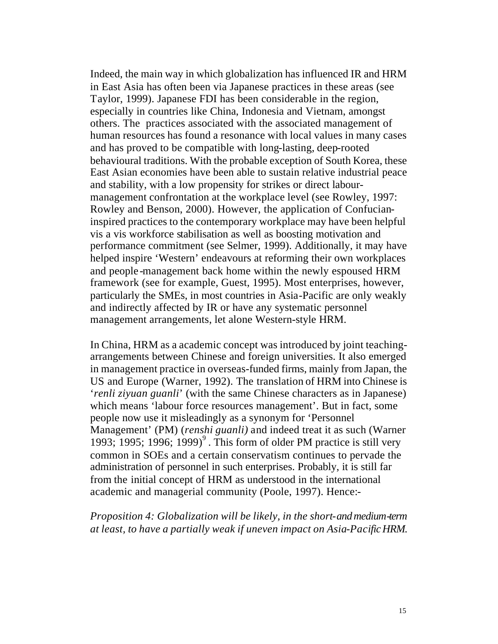Indeed, the main way in which globalization has influenced IR and HRM in East Asia has often been via Japanese practices in these areas (see Taylor, 1999). Japanese FDI has been considerable in the region, especially in countries like China, Indonesia and Vietnam, amongst others. The practices associated with the associated management of human resources has found a resonance with local values in many cases and has proved to be compatible with long-lasting, deep-rooted behavioural traditions. With the probable exception of South Korea, these East Asian economies have been able to sustain relative industrial peace and stability, with a low propensity for strikes or direct labourmanagement confrontation at the workplace level (see Rowley, 1997: Rowley and Benson, 2000). However, the application of Confucianinspired practices to the contemporary workplace may have been helpful vis a vis workforce stabilisation as well as boosting motivation and performance commitment (see Selmer, 1999). Additionally, it may have helped inspire 'Western' endeavours at reforming their own workplaces and people -management back home within the newly espoused HRM framework (see for example, Guest, 1995). Most enterprises, however, particularly the SMEs, in most countries in Asia-Pacific are only weakly and indirectly affected by IR or have any systematic personnel management arrangements, let alone Western-style HRM.

In China, HRM as a academic concept was introduced by joint teachingarrangements between Chinese and foreign universities. It also emerged in management practice in overseas-funded firms, mainly from Japan, the US and Europe (Warner, 1992). The translation of HRM into Chinese is '*renli ziyuan guanli*' (with the same Chinese characters as in Japanese) which means 'labour force resources management'. But in fact, some people now use it misleadingly as a synonym for 'Personnel Management' (PM) (*renshi guanli)* and indeed treat it as such (Warner 1993; 1995; 1996; 1999)<sup>9</sup>. This form of older PM practice is still very common in SOEs and a certain conservatism continues to pervade the administration of personnel in such enterprises. Probably, it is still far from the initial concept of HRM as understood in the international academic and managerial community (Poole, 1997). Hence:-

*Proposition 4: Globalization will be likely, in the short- and medium-term at least, to have a partially weak if uneven impact on Asia-Pacific HRM.*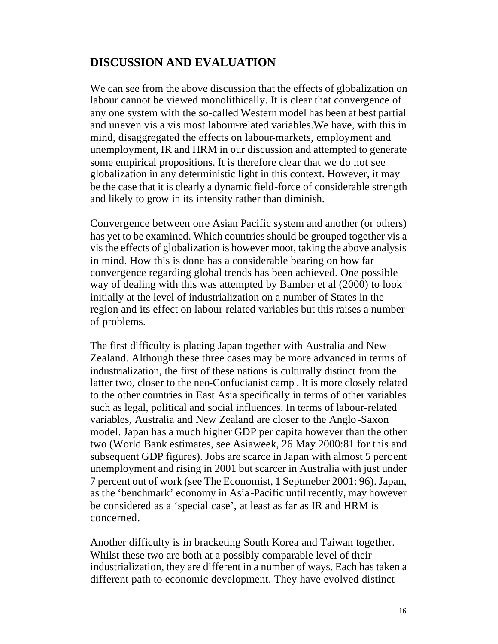## **DISCUSSION AND EVALUATION**

We can see from the above discussion that the effects of globalization on labour cannot be viewed monolithically. It is clear that convergence of any one system with the so-called Western model has been at best partial and uneven vis a vis most labour-related variables.We have, with this in mind, disaggregated the effects on labour-markets, employment and unemployment, IR and HRM in our discussion and attempted to generate some empirical propositions. It is therefore clear that we do not see globalization in any deterministic light in this context. However, it may be the case that it is clearly a dynamic field-force of considerable strength and likely to grow in its intensity rather than diminish.

Convergence between one Asian Pacific system and another (or others) has yet to be examined. Which countries should be grouped together vis a vis the effects of globalization is however moot, taking the above analysis in mind. How this is done has a considerable bearing on how far convergence regarding global trends has been achieved. One possible way of dealing with this was attempted by Bamber et al (2000) to look initially at the level of industrialization on a number of States in the region and its effect on labour-related variables but this raises a number of problems.

The first difficulty is placing Japan together with Australia and New Zealand. Although these three cases may be more advanced in terms of industrialization, the first of these nations is culturally distinct from the latter two, closer to the neo-Confucianist camp . It is more closely related to the other countries in East Asia specifically in terms of other variables such as legal, political and social influences. In terms of labour-related variables, Australia and New Zealand are closer to the Anglo -Saxon model. Japan has a much higher GDP per capita however than the other two (World Bank estimates, see Asiaweek, 26 May 2000:81 for this and subsequent GDP figures). Jobs are scarce in Japan with almost 5 perc ent unemployment and rising in 2001 but scarcer in Australia with just under 7 percent out of work (see The Economist, 1 Septmeber 2001: 96). Japan, as the 'benchmark' economy in Asia -Pacific until recently, may however be considered as a 'special case', at least as far as IR and HRM is concerned.

Another difficulty is in bracketing South Korea and Taiwan together. Whilst these two are both at a possibly comparable level of their industrialization, they are different in a number of ways. Each has taken a different path to economic development. They have evolved distinct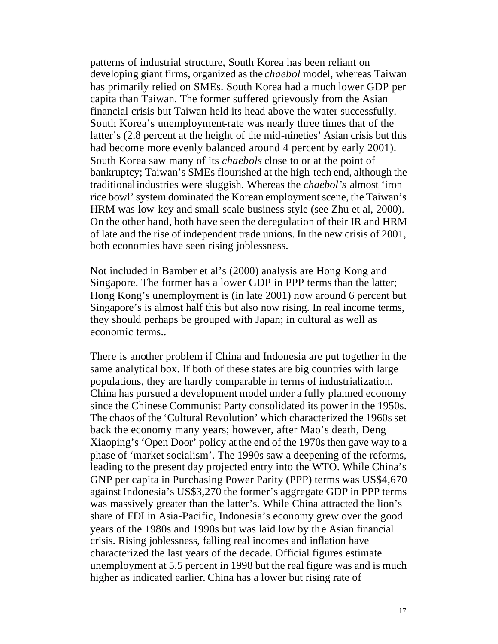patterns of industrial structure, South Korea has been reliant on developing giant firms, organized as the *chaebol* model, whereas Taiwan has primarily relied on SMEs. South Korea had a much lower GDP per capita than Taiwan. The former suffered grievously from the Asian financial crisis but Taiwan held its head above the water successfully. South Korea's unemployment-rate was nearly three times that of the latter's (2.8 percent at the height of the mid-nineties' Asian crisis but this had become more evenly balanced around 4 percent by early 2001). South Korea saw many of its *chaebols* close to or at the point of bankruptcy; Taiwan's SMEs flourished at the high-tech end, although the traditional industries were sluggish. Whereas the *chaebol's* almost 'iron rice bowl' system dominated the Korean employment scene, the Taiwan's HRM was low-key and small-scale business style (see Zhu et al, 2000). On the other hand, both have seen the deregulation of their IR and HRM of late and the rise of independent trade unions. In the new crisis of 2001, both economies have seen rising joblessness.

Not included in Bamber et al's (2000) analysis are Hong Kong and Singapore. The former has a lower GDP in PPP terms than the latter; Hong Kong's unemployment is (in late 2001) now around 6 percent but Singapore's is almost half this but also now rising. In real income terms, they should perhaps be grouped with Japan; in cultural as well as economic terms..

There is another problem if China and Indonesia are put together in the same analytical box. If both of these states are big countries with large populations, they are hardly comparable in terms of industrialization. China has pursued a development model under a fully planned economy since the Chinese Communist Party consolidated its power in the 1950s. The chaos of the 'Cultural Revolution' which characterized the 1960s set back the economy many years; however, after Mao's death, Deng Xiaoping's 'Open Door' policy at the end of the 1970s then gave way to a phase of 'market socialism'. The 1990s saw a deepening of the reforms, leading to the present day projected entry into the WTO. While China's GNP per capita in Purchasing Power Parity (PPP) terms was US\$4,670 against Indonesia's US\$3,270 the former's aggregate GDP in PPP terms was massively greater than the latter's. While China attracted the lion's share of FDI in Asia-Pacific, Indonesia's economy grew over the good years of the 1980s and 1990s but was laid low by the Asian financial crisis. Rising joblessness, falling real incomes and inflation have characterized the last years of the decade. Official figures estimate unemployment at 5.5 percent in 1998 but the real figure was and is much higher as indicated earlier. China has a lower but rising rate of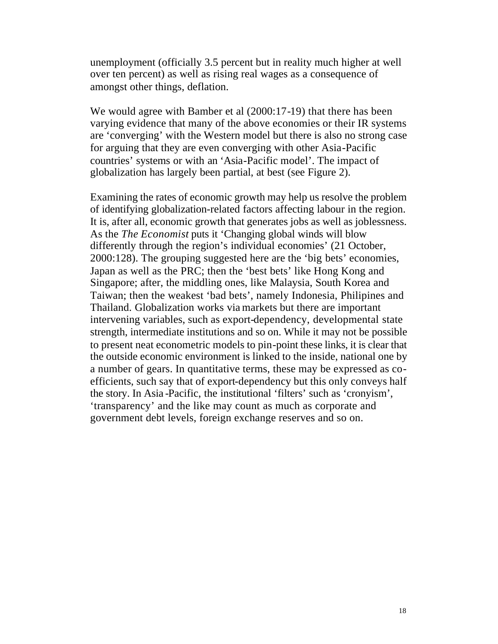unemployment (officially 3.5 percent but in reality much higher at well over ten percent) as well as rising real wages as a consequence of amongst other things, deflation.

We would agree with Bamber et al  $(2000:17-19)$  that there has been varying evidence that many of the above economies or their IR systems are 'converging' with the Western model but there is also no strong case for arguing that they are even converging with other Asia-Pacific countries' systems or with an 'Asia-Pacific model'. The impact of globalization has largely been partial, at best (see Figure 2).

Examining the rates of economic growth may help us resolve the problem of identifying globalization-related factors affecting labour in the region. It is, after all, economic growth that generates jobs as well as joblessness. As the *The Economist* puts it 'Changing global winds will blow differently through the region's individual economies' (21 October, 2000:128). The grouping suggested here are the 'big bets' economies, Japan as well as the PRC; then the 'best bets' like Hong Kong and Singapore; after, the middling ones, like Malaysia, South Korea and Taiwan; then the weakest 'bad bets', namely Indonesia, Philipines and Thailand. Globalization works via markets but there are important intervening variables, such as export-dependency, developmental state strength, intermediate institutions and so on. While it may not be possible to present neat econometric models to pin-point these links, it is clear that the outside economic environment is linked to the inside, national one by a number of gears. In quantitative terms, these may be expressed as coefficients, such say that of export-dependency but this only conveys half the story. In Asia -Pacific, the institutional 'filters' such as 'cronyism', 'transparency' and the like may count as much as corporate and government debt levels, foreign exchange reserves and so on.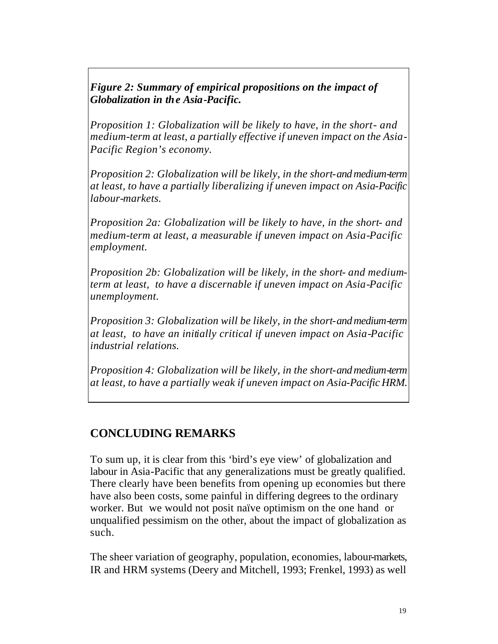*Figure 2: Summary of empirical propositions on the impact of Globalization in the Asia-Pacific.* 

*Proposition 1: Globalization will be likely to have, in the short- and medium-term at least, a partially effective if uneven impact on the Asia-Pacific Region's economy.*

*Proposition 2: Globalization will be likely, in the short- and medium-term at least, to have a partially liberalizing if uneven impact on Asia-Pacific labour-markets.*

*Proposition 2a: Globalization will be likely to have, in the short- and medium-term at least, a measurable if uneven impact on Asia-Pacific employment.*

*Proposition 2b: Globalization will be likely, in the short- and mediumterm at least, to have a discernable if uneven impact on Asia-Pacific unemployment.*

*Proposition 3: Globalization will be likely, in the short- and medium-term at least, to have an initially critical if uneven impact on Asia-Pacific industrial relations.*

*Proposition 4: Globalization will be likely, in the short- and medium-term at least, to have a partially weak if uneven impact on Asia-Pacific HRM.*

## **CONCLUDING REMARKS**

To sum up, it is clear from this 'bird's eye view' of globalization and labour in Asia-Pacific that any generalizations must be greatly qualified. There clearly have been benefits from opening up economies but there have also been costs, some painful in differing degrees to the ordinary worker. But we would not posit naïve optimism on the one hand or unqualified pessimism on the other, about the impact of globalization as such.

The sheer variation of geography, population, economies, labour-markets, IR and HRM systems (Deery and Mitchell, 1993; Frenkel, 1993) as well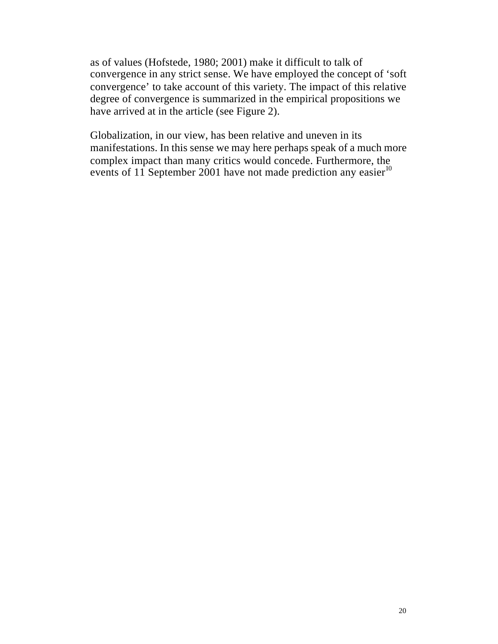as of values (Hofstede, 1980; 2001) make it difficult to talk of convergence in any strict sense. We have employed the concept of 'soft convergence' to take account of this variety. The impact of this relative degree of convergence is summarized in the empirical propositions we have arrived at in the article (see Figure 2).

Globalization, in our view, has been relative and uneven in its manifestations. In this sense we may here perhaps speak of a much more complex impact than many critics would concede. Furthermore, the events of  $11$  September 2001 have not made prediction any easier<sup>10</sup>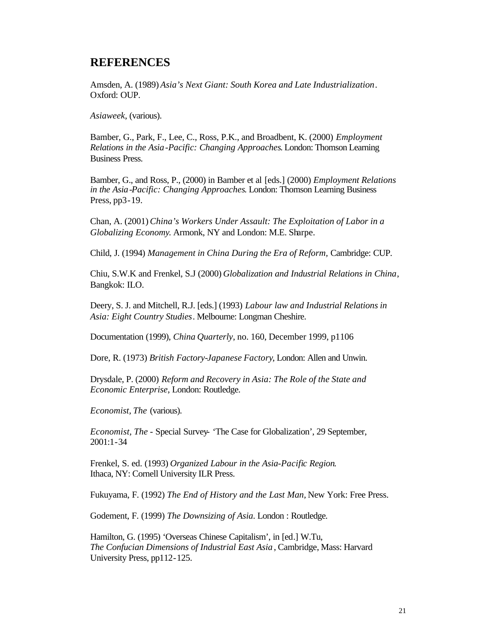#### **REFERENCES**

Amsden, A. (1989) *Asia's Next Giant: South Korea and Late Industrialization*. Oxford: OUP.

*Asiaweek*, (various).

Bamber, G., Park, F., Lee, C., Ross, P.K., and Broadbent, K. (2000) *Employment Relations in the Asia-Pacific: Changing Approaches*. London: Thomson Learning Business Press.

Bamber, G., and Ross, P., (2000) in Bamber et al [eds.] (2000) *Employment Relations in the Asia-Pacific: Changing Approaches*. London: Thomson Learning Business Press, pp3-19.

Chan, A. (2001) *China's Workers Under Assault: The Exploitation of Labor in a Globalizing Economy*. Armonk, NY and London: M.E. Sharpe.

Child, J. (1994) *Management in China During the Era of Reform,* Cambridge: CUP.

Chiu, S.W.K and Frenkel, S.J (2000) *Globalization and Industrial Relations in China*, Bangkok: ILO.

Deery, S. J. and Mitchell, R.J. [eds.] (1993) *Labour law and Industrial Relations in Asia: Eight Country Studies*. Melbourne: Longman Cheshire.

Documentation (1999), *China Quarterly*, no. 160, December 1999, p1106

Dore, R. (1973) *British Factory-Japanese Factory*, London: Allen and Unwin.

Drysdale, P. (2000) *Reform and Recovery in Asia: The Role of the State and Economic Enterprise*, London: Routledge.

*Economist, The* (various).

*Economist, The* - Special Survey- 'The Case for Globalization', 29 September, 2001:1-34

Frenkel, S. ed. (1993) *Organized Labour in the Asia-Pacific Region*. Ithaca, NY: Cornell University ILR Press.

Fukuyama, F. (1992) *The End of History and the Last Man,* New York: Free Press.

Godement, F. (1999) *The Downsizing of Asia*. London : Routledge.

Hamilton, G. (1995) 'Overseas Chinese Capitalism', in [ed.] W.Tu, *The Confucian Dimensions of Industrial East Asia* , Cambridge, Mass: Harvard University Press, pp112-125.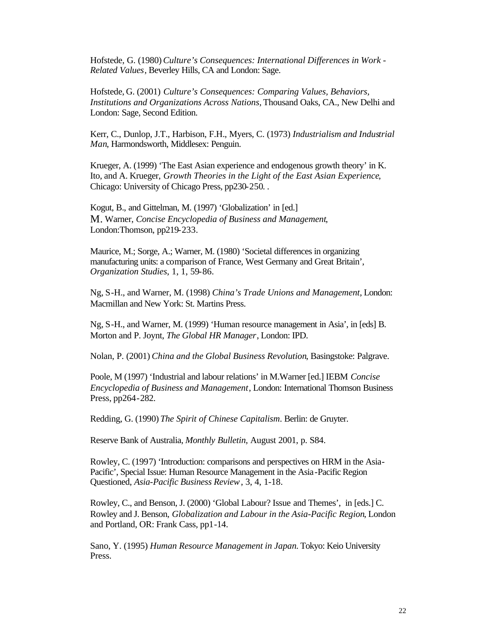Hofstede, G. (1980) *Culture's Consequences: International Differences in Work - Related Values*, Beverley Hills, CA and London: Sage.

Hofstede, G. (2001) *Culture's Consequences: Comparing Values, Behaviors, Institutions and Organizations Across Nations,* Thousand Oaks, CA., New Delhi and London: Sage, Second Edition.

Kerr, C., Dunlop, J.T., Harbison, F.H., Myers, C. (1973) *Industrialism and Industrial Man*, Harmondsworth, Middlesex: Penguin.

Krueger, A. (1999) 'The East Asian experience and endogenous growth theory' in K. Ito, and A. Krueger, *Growth Theories in the Light of the East Asian Experience*, Chicago: University of Chicago Press, pp230-250. .

Kogut, B., and Gittelman, M. (1997) 'Globalization' in [ed.] M. Warner, *Concise Encyclopedia of Business and Management*, London:Thomson, pp219-233.

Maurice, M.; Sorge, A.; Warner, M. (1980) 'Societal differences in organizing manufacturing units: a comparison of France, West Germany and Great Britain', *Organization Studies*, 1, 1, 59-86.

Ng, S-H., and Warner, M. (1998) *China's Trade Unions and Management*, London: Macmillan and New York: St. Martins Press.

Ng, S-H., and Warner, M. (1999) 'Human resource management in Asia', in [eds] B. Morton and P. Joynt, *The Global HR Manager*, London: IPD.

Nolan, P. (2001) *China and the Global Business Revolution*, Basingstoke: Palgrave.

Poole, M (1997) 'Industrial and labour relations' in M.Warner [ed.] IEBM *Concise Encyclopedia of Business and Management*, London: International Thomson Business Press, pp264-282.

Redding, G. (1990) *The Spirit of Chinese Capitalism*. Berlin: de Gruyter.

Reserve Bank of Australia, *Monthly Bulletin*, August 2001, p. S84.

Rowley, C. (1997) 'Introduction: comparisons and perspectives on HRM in the Asia-Pacific', Special Issue: Human Resource Management in the Asia-Pacific Region Questioned, *Asia-Pacific Business Review*, 3, 4, 1-18.

Rowley, C., and Benson, J. (2000) 'Global Labour? Issue and Themes', in [eds.] C. Rowley and J. Benson, *Globalization and Labour in the Asia-Pacific Region*, London and Portland, OR: Frank Cass, pp1-14.

Sano, Y. (1995) *Human Resource Management in Japan.* Tokyo: Keio University Press.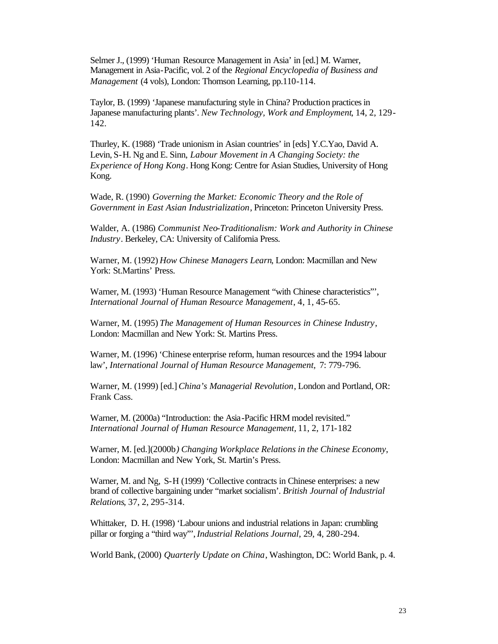Selmer J., (1999) 'Human Resource Management in Asia' in [ed.] M. Warner, Management in Asia-Pacific, vol. 2 of the *Regional Encyclopedia of Business and Management* (4 vols), London: Thomson Learning, pp.110-114.

Taylor, B. (1999) 'Japanese manufacturing style in China? Production practices in Japanese manufacturing plants'. *New Technology, Work and Employment*, 14, 2, 129- 142.

Thurley, K. (1988) 'Trade unionism in Asian countries' in [eds] Y.C.Yao, David A. Levin, S-H. Ng and E. Sinn, *Labour Movement in A Changing Society: the Experience of Hong Kong*. Hong Kong: Centre for Asian Studies, University of Hong Kong.

Wade, R. (1990) *Governing the Market: Economic Theory and the Role of Government in East Asian Industrialization*, Princeton: Princeton University Press.

Walder, A. (1986) *Communist Neo-Traditionalism: Work and Authority in Chinese Industry*. Berkeley, CA: University of California Press.

Warner, M. (1992) *How Chinese Managers Learn*, London: Macmillan and New York: St.Martins' Press.

Warner, M. (1993) 'Human Resource Management "with Chinese characteristics"', *International Journal of Human Resource Management*, 4, 1, 45-65.

Warner, M. (1995) *The Management of Human Resources in Chinese Industry*, London: Macmillan and New York: St. Martins Press.

Warner, M. (1996) 'Chinese enterprise reform, human resources and the 1994 labour law', *International Journal of Human Resource Management,* 7: 779-796.

Warner, M. (1999) [ed.] *China's Managerial Revolution*, London and Portland, OR: Frank Cass.

Warner, M. (2000a) "Introduction: the Asia-Pacific HRM model revisited." *International Journal of Human Resource Management,* 11, 2, 171-182

Warner, M. [ed.](2000b*) Changing Workplace Relations in the Chinese Economy*, London: Macmillan and New York, St. Martin's Press.

Warner, M. and Ng, S-H (1999) 'Collective contracts in Chinese enterprises: a new brand of collective bargaining under "market socialism'. *British Journal of Industrial Relations*, 37, 2, 295-314.

Whittaker, D. H. (1998) 'Labour unions and industrial relations in Japan: crumbling pillar or forging a "third way"', *Industrial Relations Journal*, 29, 4, 280-294.

World Bank, (2000) *Quarterly Update on China*, Washington, DC: World Bank, p. 4.